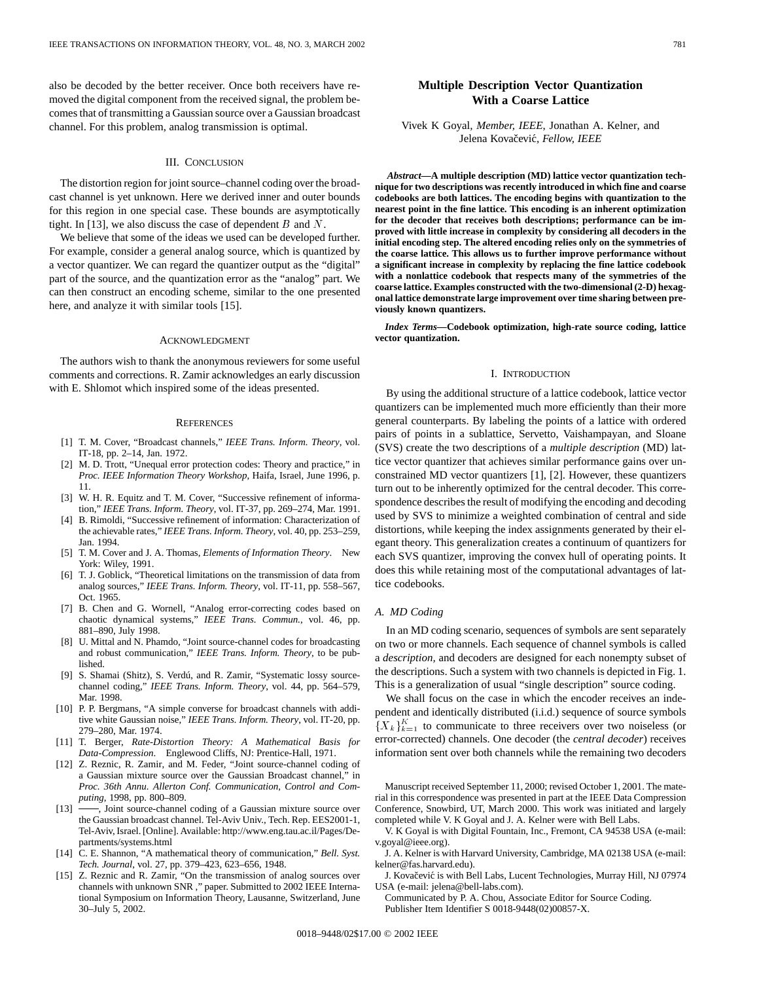also be decoded by the better receiver. Once both receivers have removed the digital component from the received signal, the problem becomes that of transmitting a Gaussian source over a Gaussian broadcast channel. For this problem, analog transmission is optimal.

### III. CONCLUSION

The distortion region for joint source–channel coding over the broadcast channel is yet unknown. Here we derived inner and outer bounds for this region in one special case. These bounds are asymptotically tight. In [13], we also discuss the case of dependent  $B$  and  $N$ .

We believe that some of the ideas we used can be developed further. For example, consider a general analog source, which is quantized by a vector quantizer. We can regard the quantizer output as the "digital" part of the source, and the quantization error as the "analog" part. We can then construct an encoding scheme, similar to the one presented here, and analyze it with similar tools [15].

#### ACKNOWLEDGMENT

The authors wish to thank the anonymous reviewers for some useful comments and corrections. R. Zamir acknowledges an early discussion with E. Shlomot which inspired some of the ideas presented.

#### **REFERENCES**

- [1] T. M. Cover, "Broadcast channels," *IEEE Trans. Inform. Theory*, vol. IT-18, pp. 2–14, Jan. 1972.
- [2] M. D. Trott, "Unequal error protection codes: Theory and practice," in *Proc. IEEE Information Theory Workshop*, Haifa, Israel, June 1996, p. 11.
- [3] W. H. R. Equitz and T. M. Cover, "Successive refinement of information," *IEEE Trans. Inform. Theory*, vol. IT-37, pp. 269–274, Mar. 1991.
- [4] B. Rimoldi, "Successive refinement of information: Characterization of the achievable rates," *IEEE Trans. Inform. Theory*, vol. 40, pp. 253–259, Jan. 1994.
- [5] T. M. Cover and J. A. Thomas, *Elements of Information Theory*. New York: Wiley, 1991.
- [6] T. J. Goblick, "Theoretical limitations on the transmission of data from analog sources," *IEEE Trans. Inform. Theory*, vol. IT-11, pp. 558–567, Oct. 1965.
- [7] B. Chen and G. Wornell, "Analog error-correcting codes based on chaotic dynamical systems," *IEEE Trans. Commun.*, vol. 46, pp. 881–890, July 1998.
- [8] U. Mittal and N. Phamdo, "Joint source-channel codes for broadcasting and robust communication," *IEEE Trans. Inform. Theory*, to be published.
- [9] S. Shamai (Shitz), S. Verdú, and R. Zamir, "Systematic lossy sourcechannel coding," *IEEE Trans. Inform. Theory*, vol. 44, pp. 564–579, Mar. 1998.
- [10] P. P. Bergmans, "A simple converse for broadcast channels with additive white Gaussian noise," *IEEE Trans. Inform. Theory*, vol. IT-20, pp. 279–280, Mar. 1974.
- [11] T. Berger, *Rate-Distortion Theory: A Mathematical Basis for Data-Compression*. Englewood Cliffs, NJ: Prentice-Hall, 1971.
- [12] Z. Reznic, R. Zamir, and M. Feder, "Joint source-channel coding of a Gaussian mixture source over the Gaussian Broadcast channel," in *Proc. 36th Annu. Allerton Conf. Communication, Control and Computing*, 1998, pp. 800–809.
- [13]  $\rightarrow$ , Joint source-channel coding of a Gaussian mixture source over the Gaussian broadcast channel. Tel-Aviv Univ., Tech. Rep. EES2001-1, Tel-Aviv, Israel. [Online]. Available: http://www.eng.tau.ac.il/Pages/Departments/systems.html
- [14] C. E. Shannon, "A mathematical theory of communication," *Bell. Syst. Tech. Journal*, vol. 27, pp. 379–423, 623–656, 1948.
- [15] Z. Reznic and R. Zamir, "On the transmission of analog sources over channels with unknown SNR ," paper. Submitted to 2002 IEEE International Symposium on Information Theory, Lausanne, Switzerland, June 30–July 5, 2002.

# **Multiple Description Vector Quantization With a Coarse Lattice**

Vivek K Goyal*, Member, IEEE*, Jonathan A. Kelner, and Jelena Kovačević, Fellow, IEEE

*Abstract—***A multiple description (MD) lattice vector quantization technique for two descriptions was recently introduced in which fine and coarse codebooks are both lattices. The encoding begins with quantization to the nearest point in the fine lattice. This encoding is an inherent optimization for the decoder that receives both descriptions; performance can be improved with little increase in complexity by considering all decoders in the initial encoding step. The altered encoding relies only on the symmetries of the coarse lattice. This allows us to further improve performance without a significant increase in complexity by replacing the fine lattice codebook with a nonlattice codebook that respects many of the symmetries of the coarse lattice. Examples constructed with the two-dimensional (2-D) hexagonal lattice demonstrate large improvement over time sharing between previously known quantizers.**

*Index Terms—***Codebook optimization, high-rate source coding, lattice vector quantization.**

#### I. INTRODUCTION

By using the additional structure of a lattice codebook, lattice vector quantizers can be implemented much more efficiently than their more general counterparts. By labeling the points of a lattice with ordered pairs of points in a sublattice, Servetto, Vaishampayan, and Sloane (SVS) create the two descriptions of a *multiple description* (MD) lattice vector quantizer that achieves similar performance gains over unconstrained MD vector quantizers [1], [2]. However, these quantizers turn out to be inherently optimized for the central decoder. This correspondence describes the result of modifying the encoding and decoding used by SVS to minimize a weighted combination of central and side distortions, while keeping the index assignments generated by their elegant theory. This generalization creates a continuum of quantizers for each SVS quantizer, improving the convex hull of operating points. It does this while retaining most of the computational advantages of lattice codebooks.

### *A. MD Coding*

In an MD coding scenario, sequences of symbols are sent separately on two or more channels. Each sequence of channel symbols is called a *description,* and decoders are designed for each nonempty subset of the descriptions. Such a system with two channels is depicted in Fig. 1. This is a generalization of usual "single description" source coding.

We shall focus on the case in which the encoder receives an independent and identically distributed (i.i.d.) sequence of source symbols  $\{X_k\}_{k=1}^K$  to communicate to three receivers over two noiseless (or error-corrected) channels. One decoder (the *central decoder*) receives information sent over both channels while the remaining two decoders

Manuscript received September 11, 2000; revised October 1, 2001. The material in this correspondence was presented in part at the IEEE Data Compression Conference, Snowbird, UT, March 2000. This work was initiated and largely completed while V. K Goyal and J. A. Kelner were with Bell Labs.

- V. K Goyal is with Digital Fountain, Inc., Fremont, CA 94538 USA (e-mail: v.goyal@ieee.org).
- J. A. Kelner is with Harvard University, Cambridge, MA 02138 USA (e-mail: kelner@fas.harvard.edu).
- J. Kovačević is with Bell Labs, Lucent Technologies, Murray Hill, NJ 07974 USA (e-mail: jelena@bell-labs.com).
- Communicated by P. A. Chou, Associate Editor for Source Coding. Publisher Item Identifier S 0018-9448(02)00857-X.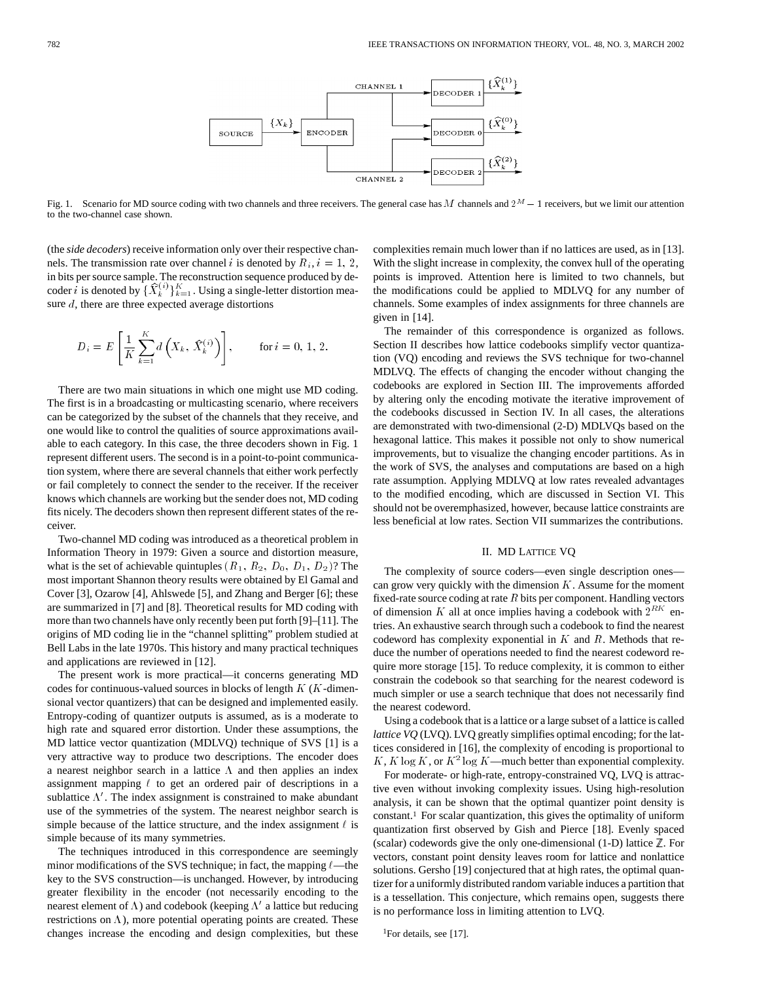

to the two-channel case shown.

(the *side decoders*) receive information only over their respective channels. The transmission rate over channel i is denoted by  $R_i$ ,  $i = 1, 2$ , in bits per source sample. The reconstruction sequence produced by decoder i is denoted by  $\{ \widehat{X}_k^{(i)} \}_{k=1}^K$ . Using a single-letter distortion measure  $d$ , there are three expected average distortions

$$
D_i = E\left[\frac{1}{K} \sum_{k=1}^K d\left(X_k, \, \widehat{X}_k^{(i)}\right)\right], \qquad \text{for } i = 0, 1, 2.
$$

There are two main situations in which one might use MD coding. The first is in a broadcasting or multicasting scenario, where receivers can be categorized by the subset of the channels that they receive, and one would like to control the qualities of source approximations available to each category. In this case, the three decoders shown in Fig. 1 represent different users. The second is in a point-to-point communication system, where there are several channels that either work perfectly or fail completely to connect the sender to the receiver. If the receiver knows which channels are working but the sender does not, MD coding fits nicely. The decoders shown then represent different states of the receiver.

Two-channel MD coding was introduced as a theoretical problem in Information Theory in 1979: Given a source and distortion measure, what is the set of achievable quintuples  $(R_1, R_2, D_0, D_1, D_2)$ ? The most important Shannon theory results were obtained by El Gamal and Cover [3], Ozarow [4], Ahlswede [5], and Zhang and Berger [6]; these are summarized in [7] and [8]. Theoretical results for MD coding with more than two channels have only recently been put forth [9]–[11]. The origins of MD coding lie in the "channel splitting" problem studied at Bell Labs in the late 1970s. This history and many practical techniques and applications are reviewed in [12].

The present work is more practical—it concerns generating MD codes for continuous-valued sources in blocks of length  $K$  ( $K$ -dimensional vector quantizers) that can be designed and implemented easily. Entropy-coding of quantizer outputs is assumed, as is a moderate to high rate and squared error distortion. Under these assumptions, the MD lattice vector quantization (MDLVQ) technique of SVS [1] is a very attractive way to produce two descriptions. The encoder does a nearest neighbor search in a lattice  $\Lambda$  and then applies an index assignment mapping  $\ell$  to get an ordered pair of descriptions in a sublattice  $\Lambda'$ . The index assignment is constrained to make abundant use of the symmetries of the system. The nearest neighbor search is simple because of the lattice structure, and the index assignment  $\ell$  is simple because of its many symmetries.

The techniques introduced in this correspondence are seemingly minor modifications of the SVS technique; in fact, the mapping  $\ell$ —the key to the SVS construction—is unchanged. However, by introducing greater flexibility in the encoder (not necessarily encoding to the nearest element of  $\Lambda$ ) and codebook (keeping  $\Lambda'$  a lattice but reducing restrictions on  $\Lambda$ ), more potential operating points are created. These changes increase the encoding and design complexities, but these complexities remain much lower than if no lattices are used, as in [13]. With the slight increase in complexity, the convex hull of the operating points is improved. Attention here is limited to two channels, but the modifications could be applied to MDLVQ for any number of channels. Some examples of index assignments for three channels are given in [14].

The remainder of this correspondence is organized as follows. Section II describes how lattice codebooks simplify vector quantization (VQ) encoding and reviews the SVS technique for two-channel MDLVQ. The effects of changing the encoder without changing the codebooks are explored in Section III. The improvements afforded by altering only the encoding motivate the iterative improvement of the codebooks discussed in Section IV. In all cases, the alterations are demonstrated with two-dimensional (2-D) MDLVQs based on the hexagonal lattice. This makes it possible not only to show numerical improvements, but to visualize the changing encoder partitions. As in the work of SVS, the analyses and computations are based on a high rate assumption. Applying MDLVQ at low rates revealed advantages to the modified encoding, which are discussed in Section VI. This should not be overemphasized, however, because lattice constraints are less beneficial at low rates. Section VII summarizes the contributions.

#### II. MD LATTICE VQ

The complexity of source coders—even single description ones can grow very quickly with the dimension  $K$ . Assume for the moment fixed-rate source coding at rate  $R$  bits per component. Handling vectors of dimension K all at once implies having a codebook with  $2^{RK}$  entries. An exhaustive search through such a codebook to find the nearest codeword has complexity exponential in  $K$  and  $R$ . Methods that reduce the number of operations needed to find the nearest codeword require more storage [15]. To reduce complexity, it is common to either constrain the codebook so that searching for the nearest codeword is much simpler or use a search technique that does not necessarily find the nearest codeword.

Using a codebook that is a lattice or a large subset of a lattice is called *lattice VQ* (LVQ). LVQ greatly simplifies optimal encoding; for the lattices considered in [16], the complexity of encoding is proportional to K, K log K, or  $K^2$  log K—much better than exponential complexity. For moderate- or high-rate, entropy-constrained VQ, LVQ is attractive even without invoking complexity issues. Using high-resolution analysis, it can be shown that the optimal quantizer point density is constant.1 For scalar quantization, this gives the optimality of uniform quantization first observed by Gish and Pierce [18]. Evenly spaced (scalar) codewords give the only one-dimensional  $(1-D)$  lattice  $\mathbb{Z}$ . For vectors, constant point density leaves room for lattice and nonlattice solutions. Gersho [19] conjectured that at high rates, the optimal quantizer for a uniformly distributed random variable induces a partition that is a tessellation. This conjecture, which remains open, suggests there is no performance loss in limiting attention to LVQ.

<sup>1</sup>For details, see [17].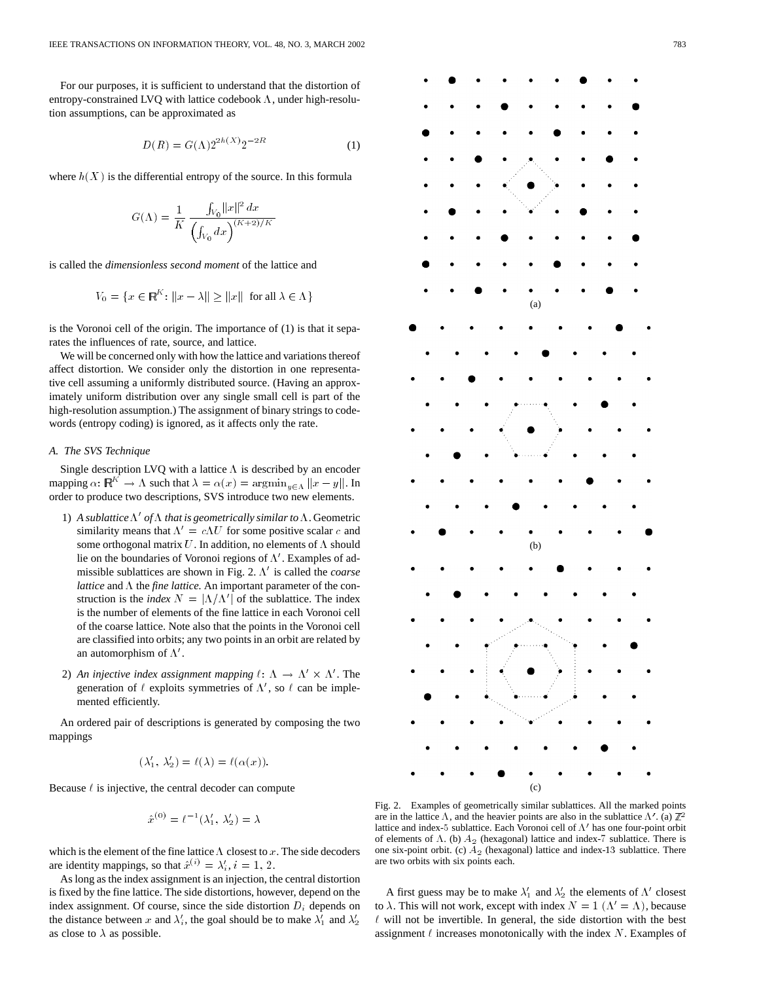For our purposes, it is sufficient to understand that the distortion of entropy-constrained LVQ with lattice codebook  $\Lambda$ , under high-resolution assumptions, can be approximated as

n be approximated as  
\n
$$
D(R) = G(\Lambda)2^{2h(X)}2^{-2R}
$$
\n(1)

where  $h(X)$  is the differential entropy of the source. In this formula

$$
G(\Lambda) = \frac{1}{K} \, \frac{\int_{V_0} ||x||^2 \, dx}{\left(\int_{V_0} dx\right)^{(K+2)/K}}
$$

is called the *dimensionless second moment* of the lattice and

$$
V_0 = \{ x \in \mathbb{R}^K \colon ||x - \lambda|| \ge ||x|| \text{ for all } \lambda \in \Lambda \}
$$

is the Voronoi cell of the origin. The importance of (1) is that it separates the influences of rate, source, and lattice.

We will be concerned only with how the lattice and variations thereof affect distortion. We consider only the distortion in one representative cell assuming a uniformly distributed source. (Having an approximately uniform distribution over any single small cell is part of the high-resolution assumption.) The assignment of binary strings to codewords (entropy coding) is ignored, as it affects only the rate.

## *A. The SVS Technique*

Single description LVQ with a lattice  $\Lambda$  is described by an encoder mapping  $\alpha: \mathbb{R}^K \to \Lambda$  such that  $\lambda = \alpha(x) = \argmin_{y \in \Lambda} ||x - y||$ . In order to produce two descriptions, SVS introduce two new elements.

- 1) A sublattice  $\Lambda'$  of  $\Lambda$  that is geometrically similar to  $\Lambda$ . Geometric similarity means that  $\Lambda' = c\Lambda U$  for some positive scalar c and some orthogonal matrix  $U$ . In addition, no elements of  $\Lambda$  should lie on the boundaries of Voronoi regions of  $\Lambda'$ . Examples of admissible sublattices are shown in Fig. 2.  $\Lambda'$  is called the *coarse lattice* and  $\Lambda$  the *fine lattice*. An important parameter of the construction is the *index*  $N = |\Lambda/\Lambda'|$  of the sublattice. The index is the number of elements of the fine lattice in each Voronoi cell of the coarse lattice. Note also that the points in the Voronoi cell are classified into orbits; any two points in an orbit are related by an automorphism of  $\Lambda'$ .
- 2) An injective index assignment mapping  $\ell: \Lambda \to \Lambda' \times \Lambda'$ . The generation of  $\ell$  exploits symmetries of  $\Lambda'$ , so  $\ell$  can be implemented efficiently.

An ordered pair of descriptions is generated by composing the two mappings

$$
(\lambda_1',\,\lambda_2')=\ell(\lambda)=\ell(\alpha(x)).
$$

Because  $\ell$  is injective, the central decoder can compute

$$
\hat{x}^{(0)}=\ell^{-1}(\lambda_1',\,\lambda_2')=\lambda
$$

which is the element of the fine lattice  $\Lambda$  closest to x. The side decoders are identity mappings, so that  $\hat{x}^{(i)} = \lambda'_i, i = 1, 2$ .

As long as the index assignment is an injection, the central distortion is fixed by the fine lattice. The side distortions, however, depend on the index assignment. Of course, since the side distortion  $D_i$  depends on the distance between x and  $\lambda'_i$ , the goal should be to make  $\lambda'_1$  and  $\lambda'_2$ as close to  $\lambda$  as possible.



Fig. 2. Examples of geometrically similar sublattices. All the marked points are in the lattice  $\Lambda$ , and the heavier points are also in the sublattice  $\Lambda'$ . (a)  $\mathbb{Z}^2$ lattice and index-5 sublattice. Each Voronoi cell of  $\Lambda'$  has one four-point orbit of elements of  $\Lambda$ . (b)  $A_2$  (hexagonal) lattice and index-7 sublattice. There is one six-point orbit. (c)  $A_2$  (hexagonal) lattice and index-13 sublattice. There are two orbits with six points each.

(c)

A first guess may be to make  $\lambda'_1$  and  $\lambda'_2$  the elements of  $\Lambda'$  closest to  $\lambda$ . This will not work, except with index  $N = 1$  ( $\Lambda' = \Lambda$ ), because  $\ell$  will not be invertible. In general, the side distortion with the best assignment  $\ell$  increases monotonically with the index  $N$ . Examples of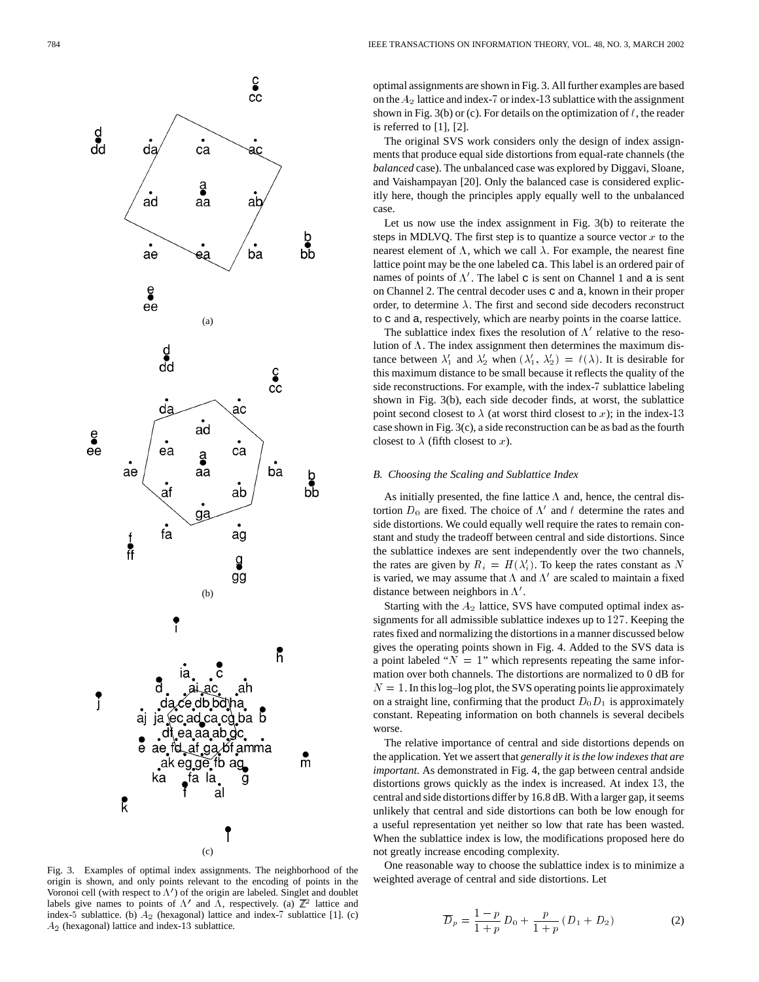

Fig. 3. Examples of optimal index assignments. The neighborhood of the origin is shown, and only points relevant to the encoding of points in the Voronoi cell (with respect to  $\Lambda'$ ) of the origin are labeled. Singlet and doublet labels give names to points of  $\Lambda'$  and  $\Lambda$ , respectively. (a)  $\mathbb{Z}^2$  lattice and index-5 sublattice. (b)  $A_2$  (hexagonal) lattice and index-7 sublattice [1]. (c)  $A<sub>2</sub>$  (hexagonal) lattice and index-13 sublattice.

optimal assignments are shown in Fig. 3. All further examples are based on the  $A_2$  lattice and index-7 or index-13 sublattice with the assignment shown in Fig. 3(b) or (c). For details on the optimization of  $\ell$ , the reader is referred to [1], [2].

The original SVS work considers only the design of index assignments that produce equal side distortions from equal-rate channels (the *balanced* case). The unbalanced case was explored by Diggavi, Sloane, and Vaishampayan [20]. Only the balanced case is considered explicitly here, though the principles apply equally well to the unbalanced case.

Let us now use the index assignment in Fig. 3(b) to reiterate the steps in MDLVQ. The first step is to quantize a source vector  $x$  to the nearest element of  $\Lambda$ , which we call  $\lambda$ . For example, the nearest fine lattice point may be the one labeled ca. This label is an ordered pair of names of points of  $\Lambda'$ . The label c is sent on Channel 1 and a is sent on Channel 2. The central decoder uses c and a, known in their proper order, to determine  $\lambda$ . The first and second side decoders reconstruct to c and a, respectively, which are nearby points in the coarse lattice.

The sublattice index fixes the resolution of  $\Lambda'$  relative to the resolution of  $\Lambda$ . The index assignment then determines the maximum distance between  $\lambda'_1$  and  $\lambda'_2$  when  $(\lambda'_1, \lambda'_2) = \ell(\lambda)$ . It is desirable for this maximum distance to be small because it reflects the quality of the side reconstructions. For example, with the index-7 sublattice labeling shown in Fig. 3(b), each side decoder finds, at worst, the sublattice point second closest to  $\lambda$  (at worst third closest to x); in the index-13 case shown in Fig. 3(c), a side reconstruction can be as bad as the fourth closest to  $\lambda$  (fifth closest to x).

### *B. Choosing the Scaling and Sublattice Index*

As initially presented, the fine lattice  $\Lambda$  and, hence, the central distortion  $D_0$  are fixed. The choice of  $\Lambda'$  and  $\ell$  determine the rates and side distortions. We could equally well require the rates to remain constant and study the tradeoff between central and side distortions. Since the sublattice indexes are sent independently over the two channels, the rates are given by  $R_i = H(\lambda_i)$ . To keep the rates constant as N is varied, we may assume that  $\Lambda$  and  $\Lambda'$  are scaled to maintain a fixed distance between neighbors in  $\Lambda'$ .

Starting with the  $A_2$  lattice, SVS have computed optimal index assignments for all admissible sublattice indexes up to 127. Keeping the rates fixed and normalizing the distortions in a manner discussed below gives the operating points shown in Fig. 4. Added to the SVS data is a point labeled " $N = 1$ " which represents repeating the same information over both channels. The distortions are normalized to 0 dB for  $N = 1$ . In this log–log plot, the SVS operating points lie approximately on a straight line, confirming that the product  $D_0D_1$  is approximately constant. Repeating information on both channels is several decibels worse.

The relative importance of central and side distortions depends on the application. Yet we assert that *generally it is the low indexes that are important.* As demonstrated in Fig. 4, the gap between central andside distortions grows quickly as the index is increased. At index 13, the central and side distortions differ by 16.8 dB. With a larger gap, it seems unlikely that central and side distortions can both be low enough for a useful representation yet neither so low that rate has been wasted. When the sublattice index is low, the modifications proposed here do not greatly increase encoding complexity.

One reasonable way to choose the sublattice index is to minimize a weighted average of central and side distortions. Let ble way to ch<br>ge of central  $\overline{D}_p = \frac{1-p}{1-p}$ 

$$
\overline{D}_p = \frac{1-p}{1+p} D_0 + \frac{p}{1+p} (D_1 + D_2)
$$
 (2)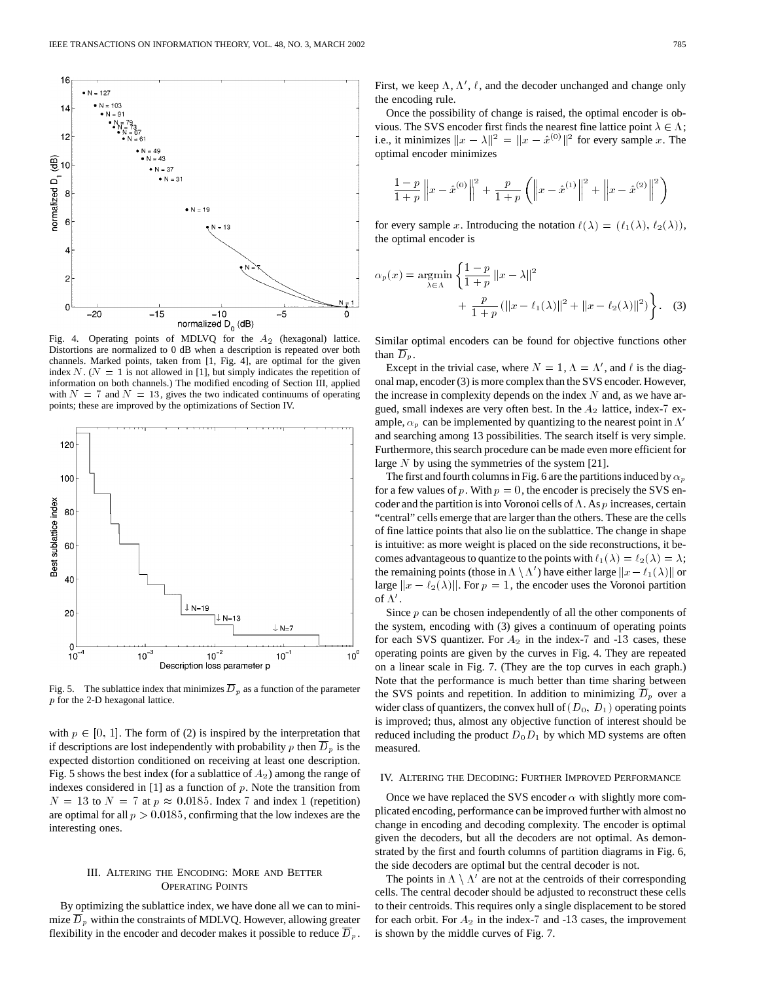

Fig. 4. Operating points of MDLVQ for the  $A_2$  (hexagonal) lattice. Distortions are normalized to 0 dB when a description is repeated over both channels. Marked points, taken from [1, Fig. 4], are optimal for the given index N. ( $N = 1$  is not allowed in [1], but simply indicates the repetition of information on both channels.) The modified encoding of Section III, applied with  $N = 7$  and  $N = 13$ , gives the two indicated continuums of operating points; these are improved by the optimizations of Section IV.



Fig. 5. The sublattice index that minimizes  $\overline{D}_p$  as a function of the parameter p for the 2-D hexagonal lattice.

with  $p \in [0, 1]$ . The form of (2) is inspired by the interpretation that if descriptions are lost independently with probability p then  $\overline{D}_p$  is the expected distortion conditioned on receiving at least one description. Fig. 5 shows the best index (for a sublattice of  $A_2$ ) among the range of indexes considered in [1] as a function of  $p$ . Note the transition from  $N = 13$  to  $N = 7$  at  $p \approx 0.0185$ . Index 7 and index 1 (repetition) are optimal for all  $p > 0.0185$ , confirming that the low indexes are the interesting ones.

# III. ALTERING THE ENCODING: MORE AND BETTER OPERATING POINTS

By optimizing the sublattice index, we have done all we can to minimize  $\overline{D}_p$  within the constraints of MDLVQ. However, allowing greater flexibility in the encoder and decoder makes it possible to reduce  $\overline{D}_p$ .

First, we keep  $\Lambda$ ,  $\Lambda'$ ,  $\ell$ , and the decoder unchanged and change only the encoding rule.

Once the possibility of change is raised, the optimal encoder is obvious. The SVS encoder first finds the nearest fine lattice point  $\lambda \in \Lambda$ ; i.e., it minimizes  $||x - \lambda||^2 = ||x - \hat{x}^{(0)}||^2$  for every sample x. The optimal encoder minimizes

$$
\frac{1-p}{1+p} \|x - \hat{x}^{(0)}\|^2 + \frac{p}{1+p} \left( \|x - \hat{x}^{(1)}\|^2 + \|x - \hat{x}^{(2)}\|^2 \right)
$$

for every sample x. Introducing the notation  $\ell(\lambda)=(\ell_1(\lambda), \ell_2(\lambda)),$ the optimal encoder is

$$
\alpha_p(x) = \underset{\lambda \in \Lambda}{\text{argmin}} \left\{ \frac{1-p}{1+p} ||x - \lambda||^2 + \frac{p}{1+p} (\|x - \ell_1(\lambda)\|^2 + \|x - \ell_2(\lambda)\|^2) \right\}.
$$
 (3)

Similar optimal encoders can be found for objective functions other than  $\overline{D}_n$ .

Except in the trivial case, where  $N = 1$ ,  $\Lambda = \Lambda'$ , and  $\ell$  is the diagonal map, encoder (3) is more complex than the SVS encoder. However, the increase in complexity depends on the index  $N$  and, as we have argued, small indexes are very often best. In the  $A_2$  lattice, index-7 example,  $\alpha_p$  can be implemented by quantizing to the nearest point in  $\Lambda'$ and searching among 13 possibilities. The search itself is very simple. Furthermore, this search procedure can be made even more efficient for large  $N$  by using the symmetries of the system [21].

The first and fourth columns in Fig. 6 are the partitions induced by  $\alpha_p$ for a few values of p. With  $p = 0$ , the encoder is precisely the SVS encoder and the partition is into Voronoi cells of  $\Lambda$ . As p increases, certain "central" cells emerge that are larger than the others. These are the cells of fine lattice points that also lie on the sublattice. The change in shape is intuitive: as more weight is placed on the side reconstructions, it becomes advantageous to quantize to the points with  $\ell_1(\lambda) = \ell_2(\lambda) = \lambda$ ; the remaining points (those in  $\Lambda \setminus \Lambda'$ ) have either large  $||x - \ell_1(\lambda)||$  or large  $||x - \ell_2(\lambda)||$ . For  $p = 1$ , the encoder uses the Voronoi partition of  $\Lambda'$ .

Since  $p$  can be chosen independently of all the other components of the system, encoding with (3) gives a continuum of operating points for each SVS quantizer. For  $A_2$  in the index-7 and -13 cases, these operating points are given by the curves in Fig. 4. They are repeated on a linear scale in Fig. 7. (They are the top curves in each graph.) Note that the performance is much better than time sharing between the SVS points and repetition. In addition to minimizing  $\overline{D}_p$  over a wider class of quantizers, the convex hull of  $(D_0, D_1)$  operating points is improved; thus, almost any objective function of interest should be reduced including the product  $D_0D_1$  by which MD systems are often measured.

### IV. ALTERING THE DECODING: FURTHER IMPROVED PERFORMANCE

Once we have replaced the SVS encoder  $\alpha$  with slightly more complicated encoding, performance can be improved further with almost no change in encoding and decoding complexity. The encoder is optimal given the decoders, but all the decoders are not optimal. As demonstrated by the first and fourth columns of partition diagrams in Fig. 6, the side decoders are optimal but the central decoder is not.

The points in  $\Lambda \setminus \Lambda'$  are not at the centroids of their corresponding cells. The central decoder should be adjusted to reconstruct these cells to their centroids. This requires only a single displacement to be stored for each orbit. For  $A_2$  in the index-7 and -13 cases, the improvement is shown by the middle curves of Fig. 7.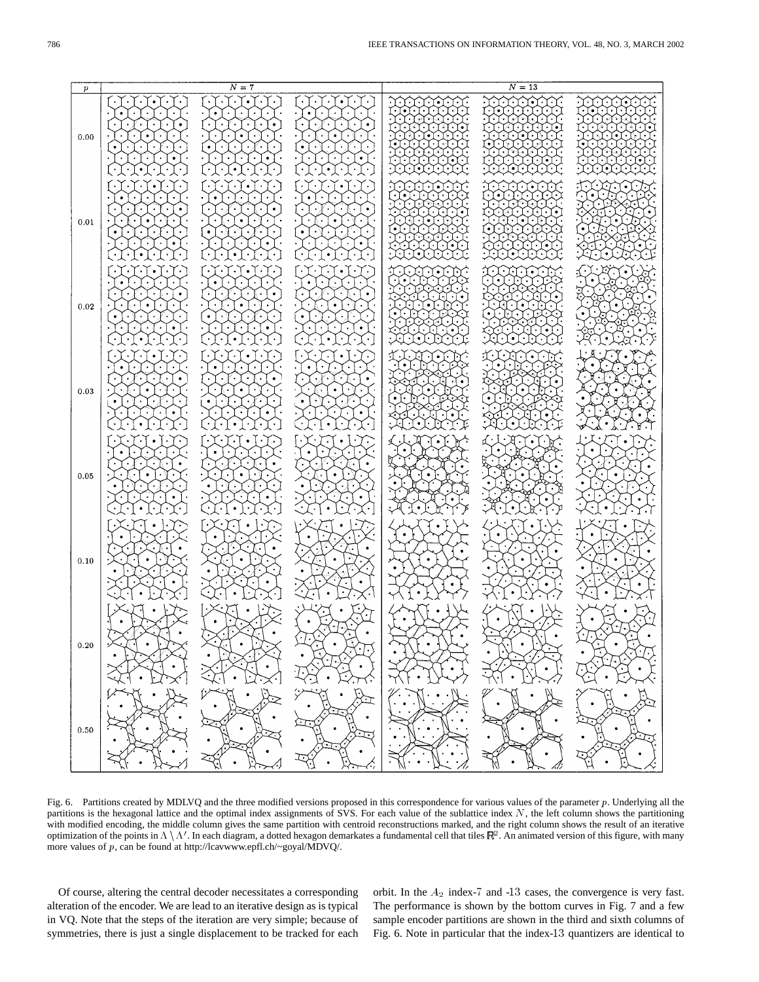| $\boldsymbol{p}$ |                                                                               | $N = 7$                                                                              |                                                                                                  |                                  | $N = 13$                                                      |                                                                       |
|------------------|-------------------------------------------------------------------------------|--------------------------------------------------------------------------------------|--------------------------------------------------------------------------------------------------|----------------------------------|---------------------------------------------------------------|-----------------------------------------------------------------------|
|                  | $\bullet$<br>$\bullet$<br>$\bullet$                                           | $\bullet$<br>$\bullet$<br>$\bullet$<br>$\bullet$                                     | $\bullet$<br>$\bullet$<br>٠                                                                      | ٠,<br>$\bullet$<br>$\cdot$<br>۰, | M.<br>$\cdot$ )<br>٠.<br>$\cdot$                              | $\bullet$                                                             |
| 0.00             | ٠<br>$\bullet$                                                                | $\bullet$                                                                            | $\bullet$<br>٠                                                                                   |                                  |                                                               |                                                                       |
|                  | ٠                                                                             | $\bullet$<br>٠                                                                       | ٠                                                                                                |                                  |                                                               |                                                                       |
|                  | $\bullet$                                                                     | ۰<br>٠                                                                               | $\bullet$<br>٠<br>٠                                                                              |                                  | $\bullet$                                                     |                                                                       |
|                  | ٠                                                                             | $\bullet$                                                                            | $\bullet$<br>$\bullet$                                                                           | $\bullet$                        |                                                               |                                                                       |
|                  | $\bullet$                                                                     | $\bullet$<br>٠                                                                       | $\bullet$<br>٠                                                                                   |                                  |                                                               |                                                                       |
|                  | Į٠.<br>入り<br>$\cdot$ l $\cdot$ l $\cdot$ l<br>$\bullet$                       | $(\cdot)$<br>$\cdot$ l $\cdot$ l<br>・人・〕<br>$\bullet$                                | $\lfloor \cdot \rfloor$<br>$\bullet$<br>$\bullet$<br>$\bullet$                                   |                                  | ٠                                                             |                                                                       |
|                  |                                                                               | 7                                                                                    | $\bullet$<br>$\bullet$                                                                           |                                  |                                                               |                                                                       |
| 0.01             | $\cdot$ ]<br>$\mathbf{I}$<br>$\bullet$<br>$\bullet$<br>$\bullet$<br>$\bullet$ | $\bullet$<br>$\ddot{\phantom{0}}$<br>$\bullet$<br>$\bullet$<br>$\cdot$  <br>٠        | $\bullet$<br>$\bullet$<br>٠<br>$\bullet$<br>$\bullet$<br>$\bullet$                               | $\bullet$<br>∣ ∙<br>٠            | ÷                                                             | ٠                                                                     |
|                  | $\bullet$<br>$\bullet$                                                        | $\bullet$<br>٠<br>$\bullet$                                                          | $\bullet$<br>$\bullet$<br>$\bullet$<br>$\bullet$<br>$\bullet$                                    |                                  |                                                               |                                                                       |
|                  | $\bullet$<br>٠                                                                | ٠<br>$\bullet$                                                                       | $\bullet$<br>$\bullet$                                                                           |                                  |                                                               | ٠                                                                     |
|                  | $\ddot{\phantom{0}}$<br>$\bullet$                                             | $\bullet$<br>$\bullet$<br>٠<br>٠                                                     | $\bullet$<br>$\bullet$<br>$\cdot$                                                                |                                  |                                                               | $\bullet$                                                             |
|                  | ٠                                                                             | $\bullet$<br>٠                                                                       | $\bullet$                                                                                        |                                  |                                                               |                                                                       |
|                  | $\cdot$ X $\cdot$ )<br>$\bullet$<br>$\bullet$<br>$\bullet$<br>$\bullet$       | $[\cdot]$<br>$\cdot$ ( $\cdot$ )<br>$\bullet$<br>٠<br>$\bullet$                      | $\left\lceil \cdot \right\rceil$<br>$\ddot{\cdot}$<br>٠<br>٠<br>$\bullet$                        | ٠                                | ٠                                                             | ٠                                                                     |
|                  |                                                                               |                                                                                      |                                                                                                  |                                  |                                                               |                                                                       |
| 0.02             | $\cdot$<br>$\bullet$<br>$\bullet$<br>$\bullet$<br>$\bullet$<br>$\bullet$      | $\vert \cdot \vert$<br>$\bullet$<br>$\bullet$<br>$\bullet$<br>$\bullet$<br>$\bullet$ | $\cdot$<br>$\bullet$<br>$\ddot{\phantom{0}}$<br>$\bullet$                                        |                                  |                                                               |                                                                       |
|                  | $\ddot{\phantom{1}}$                                                          | ٠                                                                                    | $\bullet$                                                                                        |                                  |                                                               |                                                                       |
|                  | ٠                                                                             | ٠<br>$\bullet$<br>٠<br>$\bullet$                                                     | $\bullet$<br>$\bullet$                                                                           |                                  |                                                               |                                                                       |
|                  | ٠                                                                             | $\bullet$                                                                            | $\bullet$<br>$\bullet$<br>$\bullet$                                                              | ٠                                | ٠                                                             | ٠                                                                     |
|                  | $\bullet$<br>٠<br>$\bullet$<br>$\bullet$                                      | $\bullet$<br>$\bullet$<br>$\bullet$<br>$\bullet$<br>$\bullet$                        | $\bullet$<br>$\bullet$<br>$\bullet$<br>$\bullet$                                                 |                                  |                                                               |                                                                       |
|                  | .X∙]<br>$\bullet$<br>$\bullet$<br>$\bullet$<br>$\bullet$                      | L٠.<br>$\cdot$ .<br>لى .<br>$\bullet$<br>$\cdot$ $\curlywedge$                       | Ŀ.<br>$\ddot{\phantom{a}}$<br>٠<br>$\cdot$<br>$\ddot{\phantom{1}}$                               |                                  | ٠<br>٠                                                        | ٠                                                                     |
|                  |                                                                               |                                                                                      |                                                                                                  |                                  |                                                               |                                                                       |
| 0.03             | $\cdot$<br>$\bullet$                                                          | $\vert \cdot \vert$<br>$\bullet$<br>$\bullet$<br>$\bullet$<br>$\bullet$              | $\bullet$<br>$\bullet$<br>$\cdot$ .                                                              | ٠                                | $\bullet$<br>٠<br>$\bullet$                                   | ٠                                                                     |
|                  |                                                                               |                                                                                      | $\bullet$                                                                                        |                                  |                                                               |                                                                       |
|                  | ٠                                                                             | $\cdot$<br>٠<br>٠                                                                    | ٠<br>$\bullet$<br>$\bullet$<br>٠                                                                 |                                  |                                                               |                                                                       |
|                  | ٠                                                                             | $\bullet$<br>٠                                                                       |                                                                                                  |                                  |                                                               |                                                                       |
|                  | $\bullet$                                                                     | $\bullet$<br>$\bullet$                                                               | $\bullet$                                                                                        |                                  |                                                               | $\bullet$<br>$\bullet$                                                |
|                  | $[\cdot]$<br>$\bullet$<br>$\bullet$<br>$\cdot \chi \cdot$<br>$\bullet$        | $[\cdot]$<br>$\bullet$<br>$\bullet$<br>$\bullet$<br>٠.<br>$\bullet$ .                | b.<br>$\bullet$<br>$\bullet$<br>٠<br>$\bullet$                                                   | ٠<br>$\bullet$                   | ٠<br>$\bullet$<br>$\bullet$                                   | $\bullet$<br>$\cdot$                                                  |
|                  |                                                                               |                                                                                      |                                                                                                  |                                  |                                                               |                                                                       |
| 0.05             | $\bullet$<br>$\cdot$<br>$\bullet$<br>$\cdot$ 1<br>$\bullet$<br>$\cdot$        | $\vert \cdot \vert$<br>$\bullet$<br>$\bullet$<br>$\bullet$<br>$\bullet$<br>$\bullet$ | $\ddot{\phantom{0}}$<br>$\bullet$<br>$\bullet$<br>$\cdot$ j<br>$\bullet$<br>$\ddot{\phantom{1}}$ | 卫<br>$\bullet$<br>٠              | d.<br>$\bullet$<br>$\ddot{\phantom{0}}$                       | $\bullet$                                                             |
|                  | $\bullet$                                                                     |                                                                                      | ٠<br>$\bullet$                                                                                   |                                  |                                                               |                                                                       |
|                  |                                                                               | $\bullet$                                                                            | $\cdot$<br>$\bullet$                                                                             | ٠                                | ٠                                                             | $\bullet$                                                             |
|                  |                                                                               |                                                                                      | $\bullet$ .                                                                                      |                                  | ٠                                                             | ٠                                                                     |
|                  | $\bullet$                                                                     | $\bullet$                                                                            | $\bullet$                                                                                        | ٠                                | $\bullet$<br>٠                                                |                                                                       |
|                  | $\bullet$<br>$\bullet$<br>$\bullet$<br>∙X∙J                                   | G<br>$\bullet$<br>$\bullet$<br>・エー<br>$\bullet$                                      | ╱<br>X.]<br>$\bullet$<br>$\bullet$                                                               | $\mathcal{F}$<br>٠               | $\frac{1}{\mathbf{Y}}$<br>$\bullet$<br>$\cdot$ )<br>$\bullet$ | $\stackrel{\cdot}{\downarrow}$<br>$\bullet$<br>$\bullet$<br>$\bullet$ |
|                  |                                                                               | $\bullet$                                                                            |                                                                                                  |                                  |                                                               |                                                                       |
| 0.10             | ÷                                                                             | $\bullet$                                                                            | ۰,<br>$\bullet$                                                                                  |                                  | $\bullet$<br>$\bullet$                                        |                                                                       |
|                  |                                                                               | ٠                                                                                    | ٠                                                                                                |                                  |                                                               |                                                                       |
|                  |                                                                               |                                                                                      |                                                                                                  | $\bullet$                        | $\bullet$<br>$\bullet$<br>$\bullet$                           |                                                                       |
|                  |                                                                               | $\bullet$                                                                            |                                                                                                  |                                  | $\bullet$<br>$\bullet$                                        |                                                                       |
|                  | $\bullet$                                                                     | $\bullet$<br>$\bullet$<br>$\bullet$<br>$\bullet$                                     | $\bullet$                                                                                        |                                  | $\bullet$                                                     | $\bullet$                                                             |
|                  | $\bullet$<br>ΧI<br>÷.                                                         | $\odot$<br>$\bullet$<br>$\bullet$<br>χJ<br>$\bullet$                                 | Ķ.<br>$\bullet$<br>$\chi_{\cdot}$<br>$\bullet$                                                   | $\bullet$                        | $\div$<br>$\bullet$<br>47                                     |                                                                       |
|                  | $\bullet$                                                                     | $\bullet$                                                                            | $\ddot{\phantom{0}}$<br>٠                                                                        |                                  | $\bullet$                                                     |                                                                       |
| 0.20             | ◝                                                                             | ⊡ :                                                                                  | $\cdot$ /                                                                                        | $\bullet$<br>Y                   | 込                                                             | ٠.                                                                    |
|                  |                                                                               |                                                                                      |                                                                                                  |                                  |                                                               |                                                                       |
|                  |                                                                               |                                                                                      |                                                                                                  |                                  |                                                               |                                                                       |
|                  |                                                                               |                                                                                      |                                                                                                  |                                  |                                                               |                                                                       |
|                  |                                                                               |                                                                                      |                                                                                                  |                                  |                                                               |                                                                       |
|                  |                                                                               |                                                                                      |                                                                                                  |                                  |                                                               |                                                                       |
|                  |                                                                               |                                                                                      |                                                                                                  |                                  |                                                               |                                                                       |
| 0.50             |                                                                               |                                                                                      |                                                                                                  |                                  |                                                               |                                                                       |
|                  |                                                                               |                                                                                      |                                                                                                  |                                  |                                                               |                                                                       |
|                  |                                                                               |                                                                                      |                                                                                                  |                                  |                                                               |                                                                       |
|                  |                                                                               |                                                                                      |                                                                                                  |                                  |                                                               |                                                                       |
|                  |                                                                               |                                                                                      |                                                                                                  |                                  |                                                               |                                                                       |
|                  |                                                                               |                                                                                      |                                                                                                  |                                  |                                                               |                                                                       |

Fig. 6. Partitions created by MDLVQ and the three modified versions proposed in this correspondence for various values of the parameter p. Underlying all the partitions is the hexagonal lattice and the optimal index assignments of SVS. For each value of the sublattice index N, the left column shows the partitioning with modified encoding, the middle column gives the same partition with centroid reconstructions marked, and the right column shows the result of an iterative optimization of the points in  $\Lambda \setminus \Lambda'$ . In each diagram, a dotted hexagon demarkates a fundamental cell that tiles  $\mathbb{R}^2$ . An animated version of this figure, with many more values of p, can be found at http://lcavwww.epfl.ch/~goyal/MDVQ/.

Of course, altering the central decoder necessitates a corresponding alteration of the encoder. We are lead to an iterative design as is typical in VQ. Note that the steps of the iteration are very simple; because of symmetries, there is just a single displacement to be tracked for each orbit. In the  $A_2$  index-7 and -13 cases, the convergence is very fast. The performance is shown by the bottom curves in Fig. 7 and a few sample encoder partitions are shown in the third and sixth columns of Fig. 6. Note in particular that the index-13 quantizers are identical to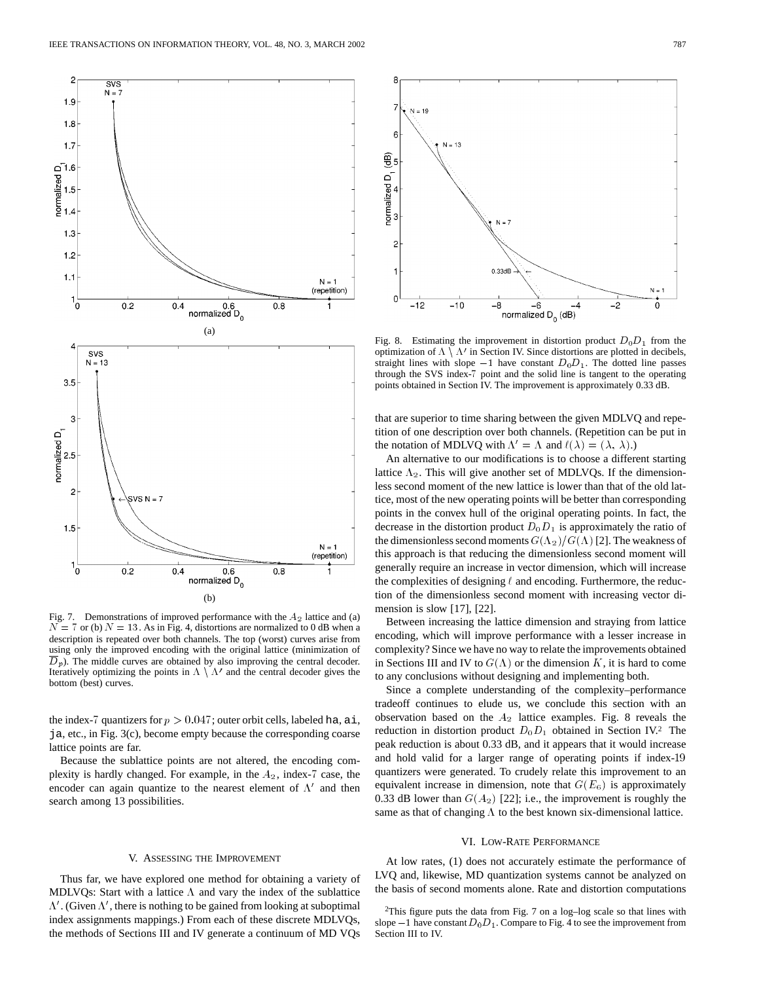

Fig. 7. Demonstrations of improved performance with the  $A_2$  lattice and (a)  $N = 7$  or (b)  $N = 13$ . As in Fig. 4, distortions are normalized to 0 dB when a description is repeated over both channels. The top (worst) curves arise from using only the improved encoding with the original lattice (minimization of  $D_p$ ). The middle curves are obtained by also improving the central decoder. Iteratively optimizing the points in  $\Lambda \setminus \Lambda'$  and the central decoder gives the bottom (best) curves.

the index-7 quantizers for  $p > 0.047$ ; outer orbit cells, labeled ha, ai, ja, etc., in Fig. 3(c), become empty because the corresponding coarse lattice points are far.

Because the sublattice points are not altered, the encoding complexity is hardly changed. For example, in the  $A_2$ , index-7 case, the encoder can again quantize to the nearest element of  $\Lambda'$  and then search among 13 possibilities.

#### V. ASSESSING THE IMPROVEMENT

Thus far, we have explored one method for obtaining a variety of MDLVQs: Start with a lattice  $\Lambda$  and vary the index of the sublattice  $\Lambda'$ . (Given  $\Lambda'$ , there is nothing to be gained from looking at suboptimal index assignments mappings.) From each of these discrete MDLVQs, the methods of Sections III and IV generate a continuum of MD VQs



Fig. 8. Estimating the improvement in distortion product  $D_0D_1$  from the optimization of  $\Lambda \setminus \Lambda'$  in Section IV. Since distortions are plotted in decibels, straight lines with slope  $-1$  have constant  $D_0 D_1$ . The dotted line passes through the SVS index-7 point and the solid line is tangent to the operating points obtained in Section IV. The improvement is approximately 0.33 dB.

that are superior to time sharing between the given MDLVQ and repetition of one description over both channels. (Repetition can be put in the notation of MDLVQ with  $\Lambda' = \Lambda$  and  $\ell(\lambda) = (\lambda, \lambda)$ .)

An alternative to our modifications is to choose a different starting lattice  $\Lambda_2$ . This will give another set of MDLVQs. If the dimensionless second moment of the new lattice is lower than that of the old lattice, most of the new operating points will be better than corresponding points in the convex hull of the original operating points. In fact, the decrease in the distortion product  $D_0D_1$  is approximately the ratio of the dimensionless second moments  $G(\Lambda_2)/G(\Lambda)$  [2]. The weakness of this approach is that reducing the dimensionless second moment will generally require an increase in vector dimension, which will increase the complexities of designing  $\ell$  and encoding. Furthermore, the reduction of the dimensionless second moment with increasing vector dimension is slow [17], [22].

Between increasing the lattice dimension and straying from lattice encoding, which will improve performance with a lesser increase in complexity? Since we have no way to relate the improvements obtained in Sections III and IV to  $G(\Lambda)$  or the dimension K, it is hard to come to any conclusions without designing and implementing both.

Since a complete understanding of the complexity–performance tradeoff continues to elude us, we conclude this section with an observation based on the  $A_2$  lattice examples. Fig. 8 reveals the reduction in distortion product  $D_0D_1$  obtained in Section IV.<sup>2</sup> The peak reduction is about 0.33 dB, and it appears that it would increase and hold valid for a larger range of operating points if index-19 quantizers were generated. To crudely relate this improvement to an equivalent increase in dimension, note that  $G(E_6)$  is approximately 0.33 dB lower than  $G(A_2)$  [22]; i.e., the improvement is roughly the same as that of changing  $\Lambda$  to the best known six-dimensional lattice.

#### VI. LOW-RATE PERFORMANCE

At low rates, (1) does not accurately estimate the performance of LVQ and, likewise, MD quantization systems cannot be analyzed on the basis of second moments alone. Rate and distortion computations

<sup>2</sup>This figure puts the data from Fig. 7 on a log–log scale so that lines with slope  $-1$  have constant  $D_0 D_1$ . Compare to Fig. 4 to see the improvement from Section III to IV.